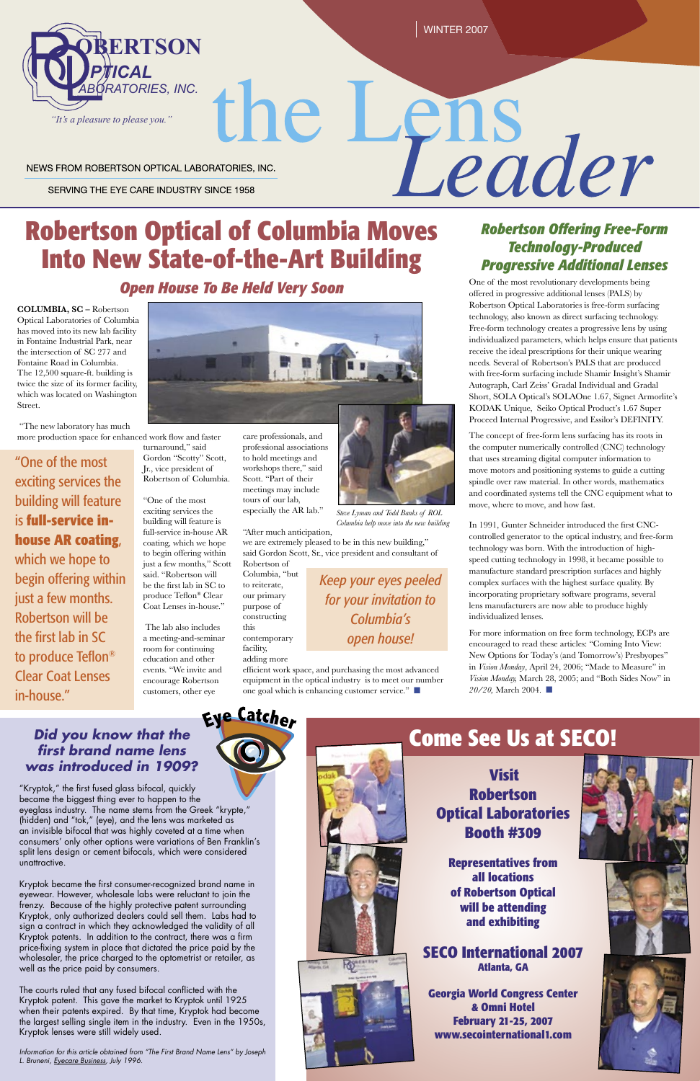WINTER 2007

#### NEWS FROM ROBERTSON OPTICAL LABORATORIES, INC.

SERVING THE EYE CARE INDUSTRY SINCE 1958

# **Robertson Optical of Columbia Moves Into New State-of-the-Art Building**

## *Open House To Be Held Very Soon*

**COLUMBIA, SC –** Robertson Optical Laboratories of Columbia has moved into its new lab facility in Fontaine Industrial Park, near the intersection of SC 277 and Fontaine Road in Columbia. The 12,500 square-ft. building is twice the size of its former facility, which was located on Washington Street.

 "The new laboratory has much more production space for enhanced work flow and faster

turnaround," said Gordon "Scotty" Scott, Jr., vice president of Robertson of Columbia.

"One of the most exciting services the building will feature is full-service in-house AR coating, which we hope to begin offering within just a few months," Scott said. "Robertson will be the first lab in SC to produce Teflon® Clear Coat Lenses in-house."

 The lab also includes a meeting-and-seminar room for continuing education and other events. "We invite and encourage Robertson customers, other eye





"One of the most exciting services the building will feature is **full-service inhouse AR coating**, which we hope to begin offering within just a few months. Robertson will be the first lab in SC to produce Teflon® Clear Coat Lenses in-house."

care professionals, and professional associations to hold meetings and workshops there," said Scott. "Part of their meetings may include tours of our lab, especially the AR lab."

"After much anticipation,

we are extremely pleased to be in this new building," said Gordon Scott, Sr., vice president and consultant of Robertson of

Columbia, "but to reiterate, our primary purpose of constructing

this

contemporary facility,

adding more efficient work space, and purchasing the most advanced equipment in the optical industry is to meet our number one goal which is enhancing customer service." ■



*Keep your eyes peeled for your invitation to Columbia's open house!*

## **Did you know that the first brand name lens was introduced in 1909?**

# *Robertson Offering Free-Form Technology-Produced Progressive Additional Lenses* One of the most revolutionary developments being

Leader

offered in progressive additional lenses (PALS) by Robertson Optical Laboratories is free-form surfacing technology, also known as direct surfacing technology. Free-form technology creates a progressive lens by using individualized parameters, which helps ensure that patients receive the ideal prescriptions for their unique wearing needs. Several of Robertson's PALS that are produced with free-form surfacing include Shamir Insight's Shamir Autograph, Carl Zeiss' Gradal Individual and Gradal Short, SOLA Optical's SOLAOne 1.67, Signet Armorlite's KODAK Unique, Seiko Optical Product's 1.67 Super Proceed Internal Progressive, and Essilor's DEFINITY.

Information for this article obtained from "The First Brand Name Lens" by Joseph L. Bruneni, Eyecare Business, July 1996.



The concept of free-form lens surfacing has its roots in the computer numerically controlled (CNC) technology that uses streaming digital computer information to move motors and positioning systems to guide a cutting spindle over raw material. In other words, mathematics and coordinated systems tell the CNC equipment what to move, where to move, and how fast.

In 1991, Gunter Schneider introduced the first CNCcontrolled generator to the optical industry, and free-form technology was born. With the introduction of highspeed cutting technology in 1998, it became possible to manufacture standard prescription surfaces and highly complex surfaces with the highest surface quality. By incorporating proprietary software programs, several lens manufacturers are now able to produce highly individualized lenses.

For more information on free form technology, ECPs are encouraged to read these articles: "Coming Into View: New Options for Today's (and Tomorrow's) Presbyopes" in *Vision Monday*, April 24, 2006; "Made to Measure" in *Vision Monday,* March 28, 2005; and "Both Sides Now" in *20/20,* March 2004. ■

"Kryptok," the first fused glass bifocal, quickly



became the biggest thing ever to happen to the eyeglass industry. The name stems from the Greek "krypte," (hidden) and "tok," (eye), and the lens was marketed as an invisible bifocal that was highly coveted at a time when consumers' only other options were variations of Ben Franklin's split lens design or cement bifocals, which were considered unattractive.

Kryptok became the first consumer-recognized brand name in eyewear. However, wholesale labs were reluctant to join the frenzy. Because of the highly protective patent surrounding Kryptok, only authorized dealers could sell them. Labs had to sign a contract in which they acknowledged the validity of all Kryptok patents. In addition to the contract, there was a firm price-fixing system in place that dictated the price paid by the wholesaler, the price charged to the optometrist or retailer, as well as the price paid by consumers.

The courts ruled that any fused bifocal conflicted with the Kryptok patent. This gave the market to Kryptok until 1925 when their patents expired. By that time, Kryptok had become the largest selling single item in the industry. Even in the 1950s, Kryptok lenses were still widely used.

## **Visit Robertson**



## **Optical Laboratories Booth #309**

**Representatives from all locations of Robertson Optical will be attending and exhibiting** 

## **SECO International 2007 Atlanta, GA**

**Georgia World Congress Center & Omni Hotel February 21-25, 2007 www.secointernational1.com**

*Steve Lyman and Todd Banks of ROL* 

*Columbia help move into the new building*

# **Come See Us at SECO!**